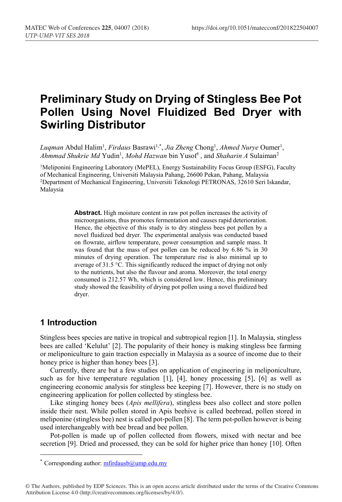# **Preliminary Study on Drying of Stingless Bee Pot Pollen Using Novel Fluidized Bed Dryer with Swirling Distributor**

Luqman Abdul Halim<sup>1</sup>, *Firdaus* Basrawi<sup>1,\*</sup>, *Jia Zheng* Chong<sup>1</sup>, *Ahmed Nurye* Oumer<sup>1</sup>, Ahmmad Shukrie Md Yudin<sup>1</sup>, Mohd Hazwan bin Yusof<sup>1</sup>, and Shaharin A Sulaiman<sup>2</sup>

<sup>1</sup>Meliponini Engineering Laboratory (MePEL), Energy Sustainability Focus Group (ESFG), Faculty of Mechanical Engineering, Universiti Malaysia Pahang, 26600 Pekan, Pahang, Malaysia 2Department of Mechanical Engineering, Universiti Teknologi PETRONAS, 32610 Seri Iskandar, Malaysia

> **Abstract.** High moisture content in raw pot pollen increases the activity of microorganisms, thus promotes fermentation and causes rapid deterioration. Hence, the objective of this study is to dry stingless bees pot pollen by a novel fluidized bed dryer. The experimental analysis was conducted based on flowrate, airflow temperature, power consumption and sample mass. It was found that the mass of pot pollen can be reduced by 6.86 % in 30 minutes of drying operation. The temperature rise is also minimal up to average of 31.5  $\degree$ C. This significantly reduced the impact of drying not only to the nutrients, but also the flavour and aroma. Moreover, the total energy consumed is 212.57 Wh, which is considered low. Hence, this preliminary study showed the feasibility of drying pot pollen using a novel fluidized bed dryer.

### **1 Introduction**

Stingless bees species are native in tropical and subtropical region [1]. In Malaysia, stingless bees are called 'Kelulut' [2]. The popularity of their honey is making stingless bee farming or meliponiculture to gain traction especially in Malaysia as a source of income due to their honey price is higher than honey bees [3].

Currently, there are but a few studies on application of engineering in meliponiculture, such as for hive temperature regulation [1], [4], honey processing [5], [6] as well as engineering economic analysis for stingless bee keeping [7]. However, there is no study on engineering application for pollen collected by stingless bee.

Like stinging honey bees (*Apis mellifera*), stingless bees also collect and store pollen inside their nest. While pollen stored in Apis beehive is called beebread, pollen stored in meliponine (stingless bee) nest is called pot-pollen [8]. The term pot-pollen however is being used interchangeably with bee bread and bee pollen.

Pot-pollen is made up of pollen collected from flowers, mixed with nectar and bee secretion [9]. Dried and processed, they can be sold for higher price than honey [10]. Often

© The Authors, published by EDP Sciences. This is an open access article distributed under the terms of the Creative Commons Attribution License 4.0 (http://creativecommons.org/licenses/by/4.0/).

<sup>\*</sup> Corresponding author:  $mfrd$  dush  $a$  ump.edu.my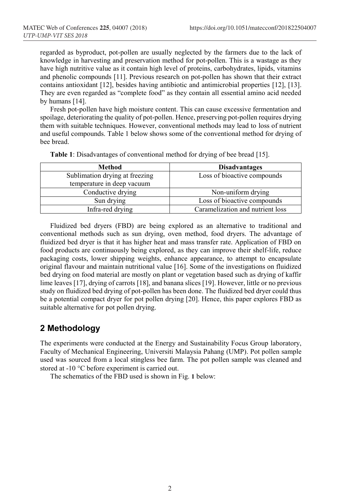regarded as byproduct, pot-pollen are usually neglected by the farmers due to the lack of knowledge in harvesting and preservation method for pot-pollen. This is a wastage as they have high nutritive value as it contain high level of proteins, carbohydrates, lipids, vitamins and phenolic compounds [11]. Previous research on pot-pollen has shown that their extract contains antioxidant [12], besides having antibiotic and antimicrobial properties [12], [13]. They are even regarded as "complete food" as they contain all essential amino acid needed by humans [14].

Fresh pot-pollen have high moisture content. This can cause excessive fermentation and spoilage, deteriorating the quality of pot-pollen. Hence, preserving pot-pollen requires drying them with suitable techniques. However, conventional methods may lead to loss of nutrient and useful compounds. Table 1 below shows some of the conventional method for drying of bee bread.

| <b>Method</b>                  | <b>Disadvantages</b>             |  |  |  |
|--------------------------------|----------------------------------|--|--|--|
| Sublimation drying at freezing | Loss of bioactive compounds      |  |  |  |
| temperature in deep vacuum     |                                  |  |  |  |
| Conductive drying              | Non-uniform drying               |  |  |  |
| Sun drying                     | Loss of bioactive compounds      |  |  |  |
| Infra-red drying               | Caramelization and nutrient loss |  |  |  |

**Table 1**: Disadvantages of conventional method for drying of bee bread [15].

Fluidized bed dryers (FBD) are being explored as an alternative to traditional and conventional methods such as sun drying, oven method, food dryers. The advantage of fluidized bed dryer is that it has higher heat and mass transfer rate. Application of FBD on food products are continuously being explored, as they can improve their shelf-life, reduce packaging costs, lower shipping weights, enhance appearance, to attempt to encapsulate original flavour and maintain nutritional value [16]. Some of the investigations on fluidized bed drying on food material are mostly on plant or vegetation based such as drying of kaffir lime leaves [17], drying of carrots [18], and banana slices [19]. However, little or no previous study on fluidized bed drying of pot-pollen has been done. The fluidized bed dryer could thus be a potential compact dryer for pot pollen drying [20]. Hence, this paper explores FBD as suitable alternative for pot pollen drying.

# **2 Methodology**

The experiments were conducted at the Energy and Sustainability Focus Group laboratory, Faculty of Mechanical Engineering, Universiti Malaysia Pahang (UMP). Pot pollen sample used was sourced from a local stingless bee farm. The pot pollen sample was cleaned and stored at -10 °C before experiment is carried out.

The schematics of the FBD used is shown in Fig. **1** below: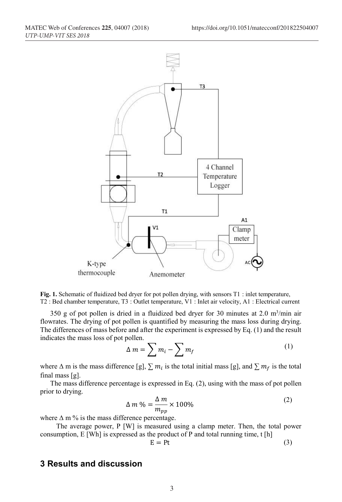

Fig. 1. Schematic of fluidized bed dryer for pot pollen drying, with sensors T1 : inlet temperature, T2 : Bed chamber temperature, T3 : Outlet temperature, V1 : Inlet air velocity, A1 : Electrical current

350 g of pot pollen is dried in a fluidized bed dryer for 30 minutes at 2.0  $m^3/m$ in air flowrates. The drying of pot pollen is quantified by measuring the mass loss during drying. The differences of mass before and after the experiment is expressed by Eq. (1) and the result indicates the mass loss of pot pollen.

$$
\Delta m = \sum m_i - \sum m_f \tag{1}
$$

where  $\Delta$  m is the mass difference [g],  $\sum m_i$  is the total initial mass [g], and  $\sum m_f$  is the total final mass [g].

The mass difference percentage is expressed in Eq. (2), using with the mass of pot pollen prior to drying.

$$
\Delta m \% = \frac{\Delta m}{m_{pp}} \times 100\%
$$
 (2)

where  $\Delta$  m % is the mass difference percentage.

The average power, P [W] is measured using a clamp meter. Then, the total power consumption, E [Wh] is expressed as the product of P and total running time, t [h]

$$
E = Pt
$$
 (3)

#### **3 Results and discussion**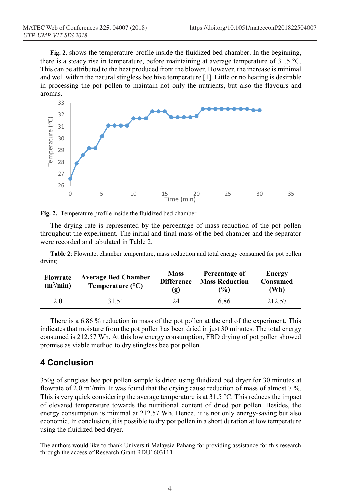**Fig. 2.** shows the temperature profile inside the fluidized bed chamber. In the beginning, there is a steady rise in temperature, before maintaining at average temperature of 31.5 °C. This can be attributed to the heat produced from the blower. However, the increase is minimal and well within the natural stingless bee hive temperature [1]. Little or no heating is desirable in processing the pot pollen to maintain not only the nutrients, but also the flavours and aromas.



|  | Fig. 2.: Temperature profile inside the fluidized bed chamber |  |  |  |  |  |  |
|--|---------------------------------------------------------------|--|--|--|--|--|--|
|--|---------------------------------------------------------------|--|--|--|--|--|--|

The drying rate is represented by the percentage of mass reduction of the pot pollen throughout the experiment. The initial and final mass of the bed chamber and the separator were recorded and tabulated in Table 2.

**Table 2**: Flowrate, chamber temperature, mass reduction and total energy consumed for pot pollen drying

| <b>Flowrate</b><br>(m <sup>3</sup> /min) | <b>Average Bed Chamber</b><br>Temperature $(^{\circ}C)$ | <b>Mass</b><br><b>Difference</b><br>(ջ) | Percentage of<br><b>Mass Reduction</b><br>$\frac{9}{0}$ | Energy<br><b>Consumed</b><br>Wh) |
|------------------------------------------|---------------------------------------------------------|-----------------------------------------|---------------------------------------------------------|----------------------------------|
| 2.0                                      | 31.51                                                   | 24                                      | 6.86                                                    | 212.57                           |

There is a 6.86 % reduction in mass of the pot pollen at the end of the experiment. This indicates that moisture from the pot pollen has been dried in just 30 minutes. The total energy consumed is 212.57 Wh. At this low energy consumption, FBD drying of pot pollen showed promise as viable method to dry stingless bee pot pollen.

# **4 Conclusion**

350g of stingless bee pot pollen sample is dried using fluidized bed dryer for 30 minutes at flowrate of 2.0 m<sup>3</sup>/min. It was found that the drying cause reduction of mass of almost  $7\%$ . This is very quick considering the average temperature is at 31.5  $^{\circ}$ C. This reduces the impact of elevated temperature towards the nutritional content of dried pot pollen. Besides, the energy consumption is minimal at 212.57 Wh. Hence, it is not only energy-saving but also economic. In conclusion, it is possible to dry pot pollen in a short duration at low temperature using the fluidized bed dryer.

The authors would like to thank Universiti Malaysia Pahang for providing assistance for this research through the access of Research Grant RDU1603111